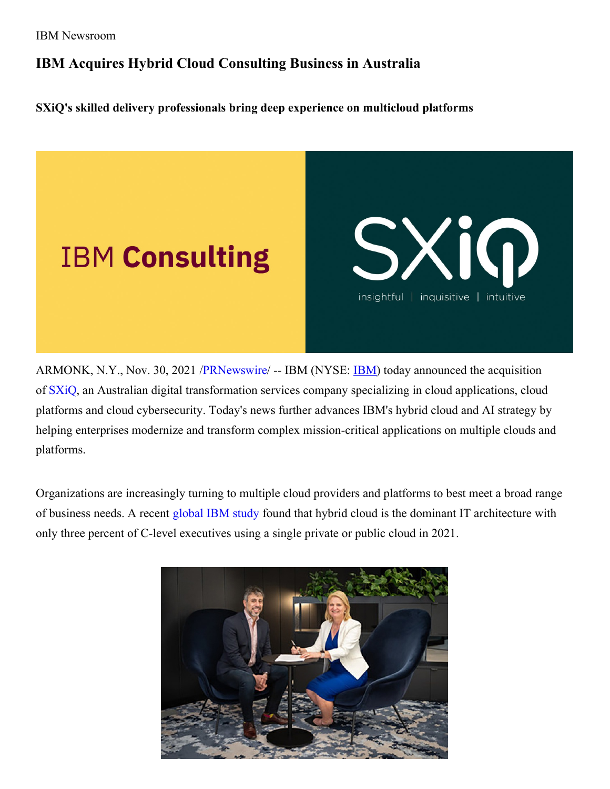## **IBM Acquires Hybrid Cloud Consulting Business in Australia**

**SXiQ's skilled delivery professionals bring deep experience on multicloud platforms**



ARMONK, N.Y., Nov. 30, 2021 [/PRNewswire](http://www.prnewswire.com/)/ -- [IBM](https://c212.net/c/link/?t=0&l=en&o=3374456-1&h=4057355843&u=https%3A%2F%2Fc212.net%2Fc%2Flink%2F%3Ft%3D0%26l%3Den%26o%3D3018512-1%26h%3D904833754%26u%3Dhttps%253A%252F%252Fc212.net%252Fc%252Flink%252F%253Ft%253D0%2526l%253Den%2526o%253D2985404-1%2526h%253D3689674790%2526u%253Dhttp%25253A%25252F%25252Fibm.com%25252Finvestor%2526a%253DIBM%26a%3DIBM&a=IBM) (NYSE: **IBM**) today announced the acquisition of [SXiQ](https://c212.net/c/link/?t=0&l=en&o=3374456-1&h=1056836460&u=https%3A%2F%2Fsxiq.com.au%2F&a=SXiQ), an Australian digital transformation services company specializing in cloud applications, cloud platforms and cloud cybersecurity. Today's news further advances IBM's hybrid cloud and AI strategy by helping enterprises modernize and transform complex mission-critical applications on multiple clouds and platforms.

Organizations are increasingly turning to multiple cloud providers and platforms to best meet a broad range of business needs. A recent [global](https://c212.net/c/link/?t=0&l=en&o=3374456-1&h=1168079411&u=https%3A%2F%2Fnewsroom.ibm.com%2F2021-10-28-IBM-Study-C-Suite-Executives-Declare-One-Vendor-Approach-to-Cloud-is-Dead&a=global+IBM+study) IBM study found that hybrid cloud is the dominant IT architecture with only three percent of C-level executives using a single private or public cloud in 2021.

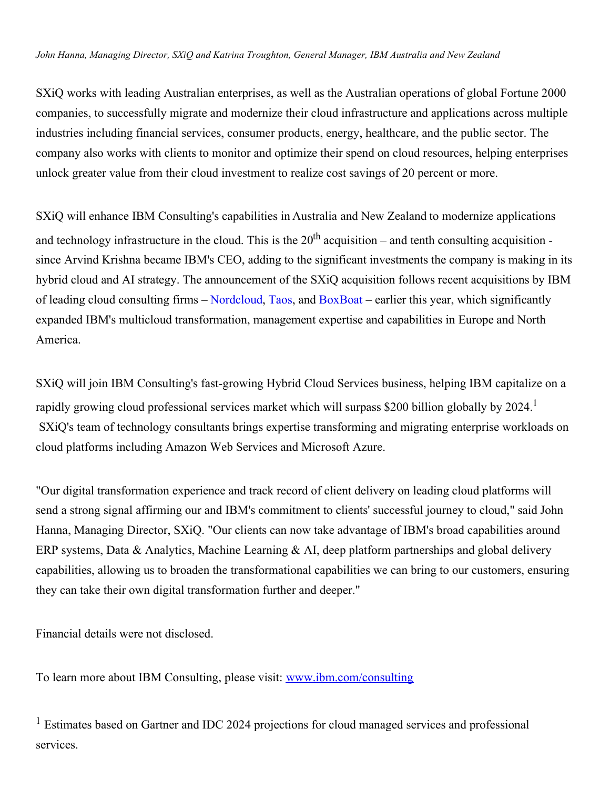## *John Hanna, Managing Director, SXiQ and Katrina Troughton, General Manager, IBM Australia and New Zealand*

SXiQ works with leading Australian enterprises, as well as the Australian operations of global Fortune 2000 companies, to successfully migrate and modernize their cloud infrastructure and applications across multiple industries including financial services, consumer products, energy, healthcare, and the public sector. The company also works with clients to monitor and optimize their spend on cloud resources, helping enterprises unlock greater value from their cloud investment to realize cost savings of 20 percent or more.

SXiQ will enhance IBM Consulting's capabilities in Australia and New Zealand to modernize applications and technology infrastructure in the cloud. This is the  $20<sup>th</sup>$  acquisition – and tenth consulting acquisition since Arvind Krishna became IBM's CEO, adding to the significant investments the company is making in its hybrid cloud and AI strategy. The announcement of the SXiQ acquisition follows recent acquisitions by IBM of leading cloud consulting firms – [Nordcloud](https://c212.net/c/link/?t=0&l=en&o=3374456-1&h=617082783&u=https%3A%2F%2Fnewsroom.ibm.com%2F2020-12-21-IBM-to-Acquire-Nordcloud-to-Turbocharge-Its-Hybrid-Cloud-Consulting-Capability&a=Nordcloud), [Taos](https://c212.net/c/link/?t=0&l=en&o=3374456-1&h=2460104641&u=https%3A%2F%2Fnewsroom.ibm.com%2F2021-01-14-IBM-Boosts-Its-Hybrid-Cloud-Consulting-Capability-with-Taos&a=Taos), and [BoxBoat](https://c212.net/c/link/?t=0&l=en&o=3374456-1&h=1994971089&u=https%3A%2F%2Fnewsroom.ibm.com%2F2021-07-08-IBM-to-Acquire-Premier-Hybrid-Cloud-Consulting-Firm&a=BoxBoat) – earlier this year, which significantly expanded IBM's multicloud transformation, management expertise and capabilities in Europe and North America.

SXiQ will join IBM Consulting's fast-growing Hybrid Cloud Services business, helping IBM capitalize on a rapidly growing cloud professional services market which will surpass \$200 billion globally by 2024.<sup>1</sup> SXiQ's team of technology consultants brings expertise transforming and migrating enterprise workloads on cloud platforms including Amazon Web Services and Microsoft Azure.

"Our digital transformation experience and track record of client delivery on leading cloud platforms will send a strong signal affirming our and IBM's commitment to clients' successful journey to cloud," said John Hanna, Managing Director, SXiQ. "Our clients can now take advantage of IBM's broad capabilities around ERP systems, Data & Analytics, Machine Learning & AI, deep platform partnerships and global delivery capabilities, allowing us to broaden the transformational capabilities we can bring to our customers, ensuring they can take their own digital transformation further and deeper."

Financial details were not disclosed.

To learn more about IBM Consulting, please visit: [www.ibm.com/consulting](https://c212.net/c/link/?t=0&l=en&o=3374456-1&h=1124766971&u=https%3A%2F%2Fc212.net%2Fc%2Flink%2F%3Ft%3D0%26l%3Den%26o%3D3327122-1%26h%3D1126119318%26u%3Dhttp%253A%252F%252Fwww.ibm.com%252Fconsulting%26a%3Dwww.ibm.com%252Fconsulting&a=www.ibm.com%2Fconsulting)

<sup>1</sup> Estimates based on Gartner and IDC 2024 projections for cloud managed services and professional services.